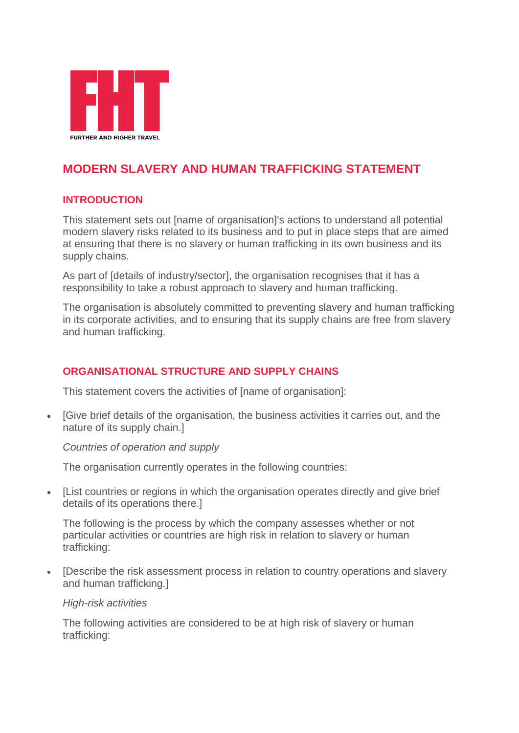

# **MODERN SLAVERY AND HUMAN TRAFFICKING STATEMENT**

# **INTRODUCTION**

This statement sets out [name of organisation]'s actions to understand all potential modern slavery risks related to its business and to put in place steps that are aimed at ensuring that there is no slavery or human trafficking in its own business and its supply chains.

As part of [details of industry/sector], the organisation recognises that it has a responsibility to take a robust approach to slavery and human trafficking.

The organisation is absolutely committed to preventing slavery and human trafficking in its corporate activities, and to ensuring that its supply chains are free from slavery and human trafficking.

# **ORGANISATIONAL STRUCTURE AND SUPPLY CHAINS**

This statement covers the activities of [name of organisation]:

 [Give brief details of the organisation, the business activities it carries out, and the nature of its supply chain.]

#### *Countries of operation and supply*

The organisation currently operates in the following countries:

 [List countries or regions in which the organisation operates directly and give brief details of its operations there.]

The following is the process by which the company assesses whether or not particular activities or countries are high risk in relation to slavery or human trafficking:

 [Describe the risk assessment process in relation to country operations and slavery and human trafficking.]

#### *High-risk activities*

The following activities are considered to be at high risk of slavery or human trafficking: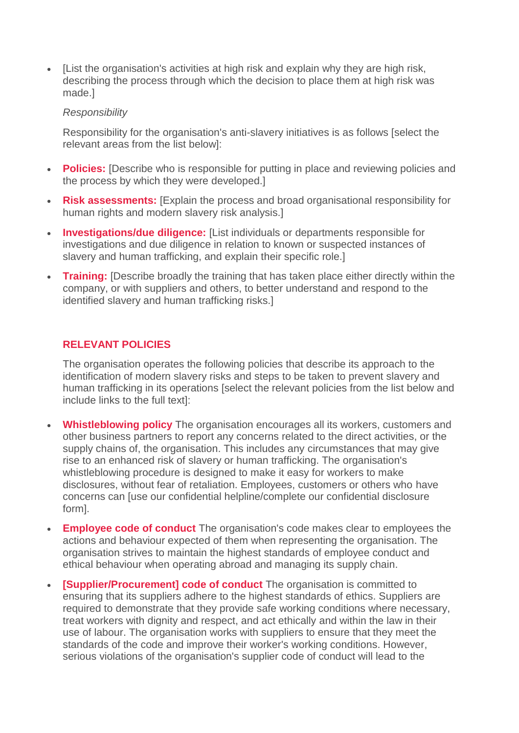[List the organisation's activities at high risk and explain why they are high risk, describing the process through which the decision to place them at high risk was made.]

#### *Responsibility*

Responsibility for the organisation's anti-slavery initiatives is as follows [select the relevant areas from the list below]:

- **Policies:** [Describe who is responsible for putting in place and reviewing policies and the process by which they were developed.]
- **Risk assessments:** [Explain the process and broad organisational responsibility for human rights and modern slavery risk analysis.]
- **Investigations/due diligence:** [List individuals or departments responsible for investigations and due diligence in relation to known or suspected instances of slavery and human trafficking, and explain their specific role.]
- **Training:** [Describe broadly the training that has taken place either directly within the company, or with suppliers and others, to better understand and respond to the identified slavery and human trafficking risks.]

# **RELEVANT POLICIES**

The organisation operates the following policies that describe its approach to the identification of modern slavery risks and steps to be taken to prevent slavery and human trafficking in its operations [select the relevant policies from the list below and include links to the full text]:

- **Whistleblowing policy** The organisation encourages all its workers, customers and other business partners to report any concerns related to the direct activities, or the supply chains of, the organisation. This includes any circumstances that may give rise to an enhanced risk of slavery or human trafficking. The organisation's whistleblowing procedure is designed to make it easy for workers to make disclosures, without fear of retaliation. Employees, customers or others who have concerns can [use our confidential helpline/complete our confidential disclosure form].
- **Employee code of conduct** The organisation's code makes clear to employees the actions and behaviour expected of them when representing the organisation. The organisation strives to maintain the highest standards of employee conduct and ethical behaviour when operating abroad and managing its supply chain.
- **[Supplier/Procurement] code of conduct** The organisation is committed to ensuring that its suppliers adhere to the highest standards of ethics. Suppliers are required to demonstrate that they provide safe working conditions where necessary, treat workers with dignity and respect, and act ethically and within the law in their use of labour. The organisation works with suppliers to ensure that they meet the standards of the code and improve their worker's working conditions. However, serious violations of the organisation's supplier code of conduct will lead to the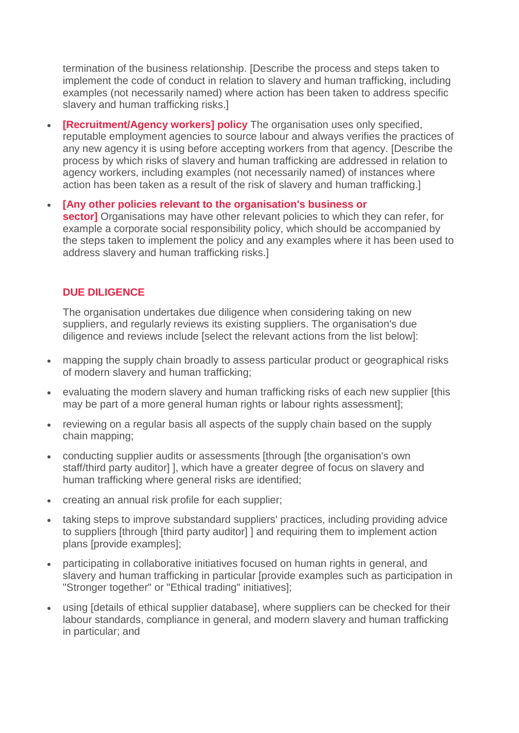termination of the business relationship. [Describe the process and steps taken to implement the code of conduct in relation to slavery and human trafficking, including examples (not necessarily named) where action has been taken to address specific slavery and human trafficking risks.]

- **[Recruitment/Agency workers] policy** The organisation uses only specified, reputable employment agencies to source labour and always verifies the practices of any new agency it is using before accepting workers from that agency. [Describe the process by which risks of slavery and human trafficking are addressed in relation to agency workers, including examples (not necessarily named) of instances where action has been taken as a result of the risk of slavery and human trafficking.]
- **[Any other policies relevant to the organisation's business or sector]** Organisations may have other relevant policies to which they can refer, for example a corporate social responsibility policy, which should be accompanied by the steps taken to implement the policy and any examples where it has been used to address slavery and human trafficking risks.]

## **DUE DILIGENCE**

The organisation undertakes due diligence when considering taking on new suppliers, and regularly reviews its existing suppliers. The organisation's due diligence and reviews include [select the relevant actions from the list below]:

- mapping the supply chain broadly to assess particular product or geographical risks of modern slavery and human trafficking;
- evaluating the modern slavery and human trafficking risks of each new supplier [this may be part of a more general human rights or labour rights assessment];
- reviewing on a regular basis all aspects of the supply chain based on the supply chain mapping;
- conducting supplier audits or assessments [through [the organisation's own staff/third party auditor] ], which have a greater degree of focus on slavery and human trafficking where general risks are identified;
- creating an annual risk profile for each supplier;
- taking steps to improve substandard suppliers' practices, including providing advice to suppliers [through [third party auditor] ] and requiring them to implement action plans [provide examples];
- participating in collaborative initiatives focused on human rights in general, and slavery and human trafficking in particular [provide examples such as participation in "Stronger together" or "Ethical trading" initiatives];
- using [details of ethical supplier database], where suppliers can be checked for their labour standards, compliance in general, and modern slavery and human trafficking in particular; and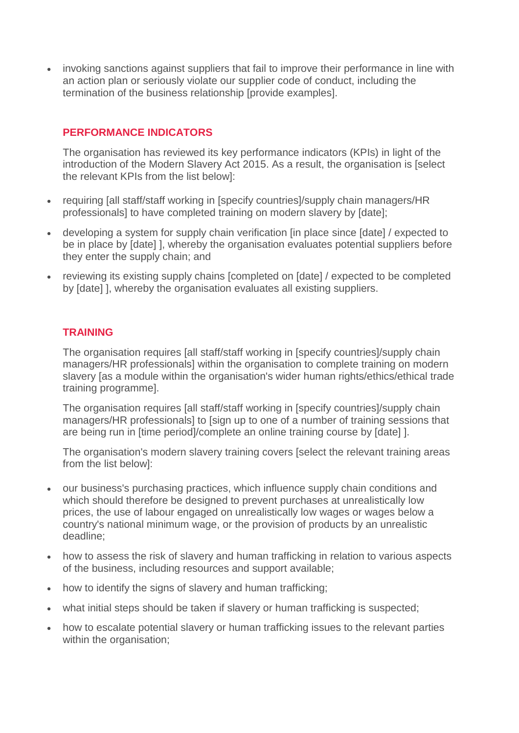invoking sanctions against suppliers that fail to improve their performance in line with an action plan or seriously violate our supplier code of conduct, including the termination of the business relationship [provide examples].

# **PERFORMANCE INDICATORS**

The organisation has reviewed its key performance indicators (KPIs) in light of the introduction of the Modern Slavery Act 2015. As a result, the organisation is [select the relevant KPIs from the list below]:

- requiring [all staff/staff working in [specify countries]/supply chain managers/HR professionals] to have completed training on modern slavery by [date];
- developing a system for supply chain verification [in place since [date] / expected to be in place by [date] ], whereby the organisation evaluates potential suppliers before they enter the supply chain; and
- reviewing its existing supply chains [completed on [date] / expected to be completed by [date] ], whereby the organisation evaluates all existing suppliers.

## **TRAINING**

The organisation requires [all staff/staff working in [specify countries]/supply chain managers/HR professionals] within the organisation to complete training on modern slavery [as a module within the organisation's wider human rights/ethics/ethical trade training programme].

The organisation requires [all staff/staff working in [specify countries]/supply chain managers/HR professionals] to [sign up to one of a number of training sessions that are being run in [time period]/complete an online training course by [date] ].

The organisation's modern slavery training covers [select the relevant training areas from the list below]:

- our business's purchasing practices, which influence supply chain conditions and which should therefore be designed to prevent purchases at unrealistically low prices, the use of labour engaged on unrealistically low wages or wages below a country's national minimum wage, or the provision of products by an unrealistic deadline;
- how to assess the risk of slavery and human trafficking in relation to various aspects of the business, including resources and support available;
- how to identify the signs of slavery and human trafficking:
- what initial steps should be taken if slavery or human trafficking is suspected;
- how to escalate potential slavery or human trafficking issues to the relevant parties within the organisation;